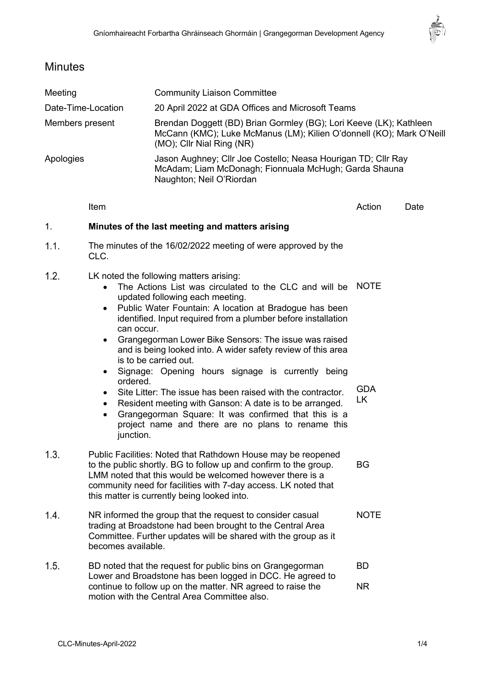

# **Minutes**

| Meeting            |                                                                                                                                                                                                                                                                                                                            | <b>Community Liaison Committee</b>                                                                                                                                                                                                                                                                                                                                                                                                                                                                                                                                                                                                                                                                             |                                 |      |
|--------------------|----------------------------------------------------------------------------------------------------------------------------------------------------------------------------------------------------------------------------------------------------------------------------------------------------------------------------|----------------------------------------------------------------------------------------------------------------------------------------------------------------------------------------------------------------------------------------------------------------------------------------------------------------------------------------------------------------------------------------------------------------------------------------------------------------------------------------------------------------------------------------------------------------------------------------------------------------------------------------------------------------------------------------------------------------|---------------------------------|------|
| Date-Time-Location |                                                                                                                                                                                                                                                                                                                            | 20 April 2022 at GDA Offices and Microsoft Teams                                                                                                                                                                                                                                                                                                                                                                                                                                                                                                                                                                                                                                                               |                                 |      |
| Members present    |                                                                                                                                                                                                                                                                                                                            | Brendan Doggett (BD) Brian Gormley (BG); Lori Keeve (LK); Kathleen<br>McCann (KMC); Luke McManus (LM); Kilien O'donnell (KO); Mark O'Neill<br>(MO); Cllr Nial Ring (NR)                                                                                                                                                                                                                                                                                                                                                                                                                                                                                                                                        |                                 |      |
| Apologies          |                                                                                                                                                                                                                                                                                                                            | Jason Aughney; Cllr Joe Costello; Neasa Hourigan TD; Cllr Ray<br>McAdam; Liam McDonagh; Fionnuala McHugh; Garda Shauna<br>Naughton; Neil O'Riordan                                                                                                                                                                                                                                                                                                                                                                                                                                                                                                                                                             |                                 |      |
|                    | Item                                                                                                                                                                                                                                                                                                                       |                                                                                                                                                                                                                                                                                                                                                                                                                                                                                                                                                                                                                                                                                                                | Action                          | Date |
| 1.                 | Minutes of the last meeting and matters arising                                                                                                                                                                                                                                                                            |                                                                                                                                                                                                                                                                                                                                                                                                                                                                                                                                                                                                                                                                                                                |                                 |      |
| 1.1.               | The minutes of the 16/02/2022 meeting of were approved by the<br>CLC.                                                                                                                                                                                                                                                      |                                                                                                                                                                                                                                                                                                                                                                                                                                                                                                                                                                                                                                                                                                                |                                 |      |
| 1.2.               | $\bullet$<br>can occur.<br>$\bullet$<br>ordered.<br>$\bullet$<br>$\bullet$<br>$\bullet$<br>junction.                                                                                                                                                                                                                       | LK noted the following matters arising:<br>The Actions List was circulated to the CLC and will be<br>updated following each meeting.<br>Public Water Fountain: A location at Bradogue has been<br>identified. Input required from a plumber before installation<br>Grangegorman Lower Bike Sensors: The issue was raised<br>and is being looked into. A wider safety review of this area<br>is to be carried out.<br>Signage: Opening hours signage is currently being<br>Site Litter: The issue has been raised with the contractor.<br>Resident meeting with Ganson: A date is to be arranged.<br>Grangegorman Square: It was confirmed that this is a<br>project name and there are no plans to rename this | <b>NOTE</b><br><b>GDA</b><br>LK |      |
| 1.3.               | Public Facilities: Noted that Rathdown House may be reopened<br>to the public shortly. BG to follow up and confirm to the group.<br><b>BG</b><br>LMM noted that this would be welcomed however there is a<br>community need for facilities with 7-day access. LK noted that<br>this matter is currently being looked into. |                                                                                                                                                                                                                                                                                                                                                                                                                                                                                                                                                                                                                                                                                                                |                                 |      |
| 1.4.               | NR informed the group that the request to consider casual<br><b>NOTE</b><br>trading at Broadstone had been brought to the Central Area<br>Committee. Further updates will be shared with the group as it<br>becomes available.                                                                                             |                                                                                                                                                                                                                                                                                                                                                                                                                                                                                                                                                                                                                                                                                                                |                                 |      |

 $1.5.$ BD noted that the request for public bins on Grangegorman BD Lower and Broadstone has been logged in DCC. He agreed to continue to follow up on the matter. NR agreed to raise the NRmotion with the Central Area Committee also.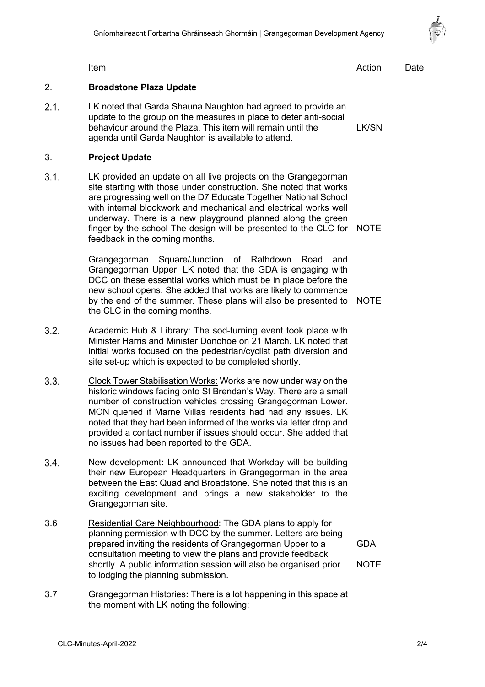

Item and the contract of the contract of the contract of the contract of the contract of the Date

#### 2. **Broadstone Plaza Update**

 $2.1.$ LK noted that Garda Shauna Naughton had agreed to provide an update to the group on the measures in place to deter anti-social behaviour around the Plaza. This item will remain until the LK/SN agenda until Garda Naughton is available to attend.

#### 3. **Project Update**

 $3.1.$ LK provided an update on all live projects on the Grangegorman site starting with those under construction. She noted that works are progressing well on the D7 Educate Together National School with internal blockwork and mechanical and electrical works well underway. There is a new playground planned along the green finger by the school The design will be presented to the CLC for NOTE feedback in the coming months.

> Grangegorman Square/Junction of Rathdown Road and Grangegorman Upper: LK noted that the GDA is engaging with DCC on these essential works which must be in place before the new school opens. She added that works are likely to commence by the end of the summer. These plans will also be presented to NOTE the CLC in the coming months.

- $3.2.$ Academic Hub & Library: The sod-turning event took place with Minister Harris and Minister Donohoe on 21 March. LK noted that initial works focused on the pedestrian/cyclist path diversion and site set-up which is expected to be completed shortly.
- $3.3<sub>1</sub>$ Clock Tower Stabilisation Works: Works are now under way on the historic windows facing onto St Brendan's Way. There are a small number of construction vehicles crossing Grangegorman Lower. MON queried if Marne Villas residents had had any issues. LK noted that they had been informed of the works via letter drop and provided a contact number if issues should occur. She added that no issues had been reported to the GDA.
- $3.4.$ New development**:** LK announced that Workday will be building their new European Headquarters in Grangegorman in the area between the East Quad and Broadstone. She noted that this is an exciting development and brings a new stakeholder to the Grangegorman site.
- 3.6 Residential Care Neighbourhood: The GDA plans to apply for planning permission with DCC by the summer. Letters are being prepared inviting the residents of Grangegorman Upper to a consultation meeting to view the plans and provide feedback shortly. A public information session will also be organised prior to lodging the planning submission. GDA **NOTE**
- 3.7 Grangegorman Histories**:** There is a lot happening in this space at the moment with LK noting the following: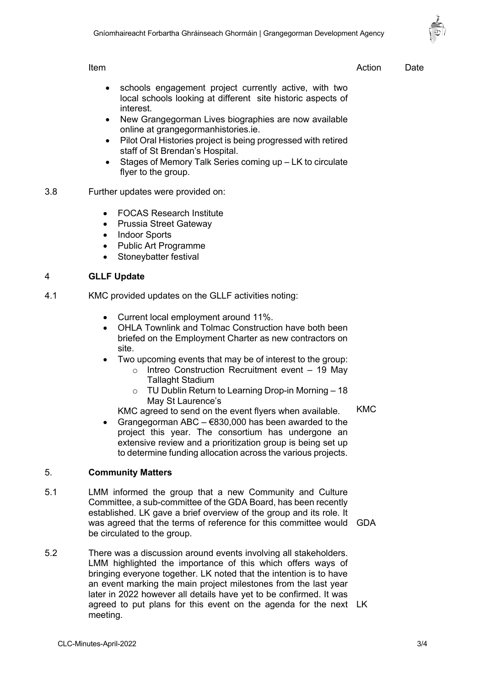Item and the contract of the contract of the contract of the contract of the contract of the Date

- schools engagement project currently active, with two local schools looking at different site historic aspects of interest.
- New Grangegorman Lives biographies are now available online at grangegormanhistories.ie.
- Pilot Oral Histories project is being progressed with retired staff of St Brendan's Hospital.
- Stages of Memory Talk Series coming up LK to circulate flyer to the group.
- 3.8 Further updates were provided on:
	- FOCAS Research Institute
	- Prussia Street Gateway
	- Indoor Sports
	- Public Art Programme
	- Stoneybatter festival

## 4 **GLLF Update**

- 4.1 KMC provided updates on the GLLF activities noting:
	- Current local employment around 11%.
	- OHLA Townlink and Tolmac Construction have both been briefed on the Employment Charter as new contractors on site.
	- Two upcoming events that may be of interest to the group:
		- o Intreo Construction Recruitment event 19 May Tallaght Stadium
		- o TU Dublin Return to Learning Drop-in Morning 18 May St Laurence's
		- KMC agreed to send on the event flyers when available. KMC
	- Grangegorman ABC  $€830,000$  has been awarded to the project this year. The consortium has undergone an extensive review and a prioritization group is being set up to determine funding allocation across the various projects.

# 5. **Community Matters**

- 5.1 LMM informed the group that a new Community and Culture Committee, a sub-committee of the GDA Board, has been recently established. LK gave a brief overview of the group and its role. It was agreed that the terms of reference for this committee would GDA be circulated to the group.
- 5.2 There was a discussion around events involving all stakeholders. LMM highlighted the importance of this which offers ways of bringing everyone together. LK noted that the intention is to have an event marking the main project milestones from the last year later in 2022 however all details have yet to be confirmed. It was agreed to put plans for this event on the agenda for the next LKmeeting.